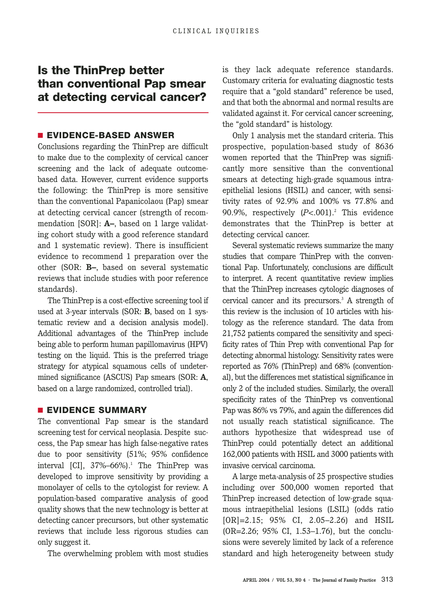## **Is the ThinPrep better than conventional Pap smear at detecting cervical cancer?**

#### ■ **EVIDENCE-BASED ANSWER**

Conclusions regarding the ThinPrep are difficult to make due to the complexity of cervical cancer screening and the lack of adequate outcomebased data. However, current evidence supports the following: the ThinPrep is more sensitive than the conventional Papanicolaou (Pap) smear at detecting cervical cancer (strength of recommendation [SOR]: **A–**, based on 1 large validating cohort study with a good reference standard and 1 systematic review). There is insufficient evidence to recommend 1 preparation over the other (SOR: **B–**, based on several systematic reviews that include studies with poor reference standards).

The ThinPrep is a cost-effective screening tool if used at 3-year intervals (SOR: **B**, based on 1 systematic review and a decision analysis model). Additional advantages of the ThinPrep include being able to perform human papillomavirus (HPV) testing on the liquid. This is the preferred triage strategy for atypical squamous cells of undetermined significance (ASCUS) Pap smears (SOR: **A**, based on a large randomized, controlled trial).

#### ■ **EVIDENCE SUMMARY**

The conventional Pap smear is the standard screening test for cervical neoplasia. Despite success, the Pap smear has high false-negative rates due to poor sensitivity (51%; 95% confidence interval [CI],  $37\% - 66\%$ ].<sup>1</sup> The ThinPrep was developed to improve sensitivity by providing a monolayer of cells to the cytologist for review. A population-based comparative analysis of good quality shows that the new technology is better at detecting cancer precursors, but other systematic reviews that include less rigorous studies can only suggest it.

The overwhelming problem with most studies

is they lack adequate reference standards. Customary criteria for evaluating diagnostic tests require that a "gold standard" reference be used, and that both the abnormal and normal results are validated against it. For cervical cancer screening, the "gold standard" is histology.

Only 1 analysis met the standard criteria. This prospective, population-based study of 8636 women reported that the ThinPrep was significantly more sensitive than the conventional smears at detecting high-grade squamous intraepithelial lesions (HSIL) and cancer, with sensitivity rates of 92.9% and 100% vs 77.8% and 90.9%, respectively  $(P<.001)$ .<sup>2</sup> This evidence demonstrates that the ThinPrep is better at detecting cervical cancer.

Several systematic reviews summarize the many studies that compare ThinPrep with the conventional Pap. Unfortunately, conclusions are difficult to interpret. A recent quantitative review implies that the ThinPrep increases cytologic diagnoses of cervical cancer and its precursors.<sup>3</sup> A strength of this review is the inclusion of 10 articles with histology as the reference standard. The data from 21,752 patients compared the sensitivity and specificity rates of Thin Prep with conventional Pap for detecting abnormal histology. Sensitivity rates were reported as 76% (ThinPrep) and 68% (conventional), but the differences met statistical significance in only 2 of the included studies. Similarly, the overall specificity rates of the ThinPrep vs conventional Pap was 86% vs 79%, and again the differences did not usually reach statistical significance. The authors hypothesize that widespread use of ThinPrep could potentially detect an additional 162,000 patients with HSIL and 3000 patients with invasive cervical carcinoma.

A large meta-analysis of 25 prospective studies including over 500,000 women reported that ThinPrep increased detection of low-grade squamous intraepithelial lesions (LSIL) (odds ratio [OR]=2.15; 95% CI, 2.05–2.26) and HSIL (OR=2.26; 95% CI, 1.53–1.76), but the conclusions were severely limited by lack of a reference standard and high heterogeneity between study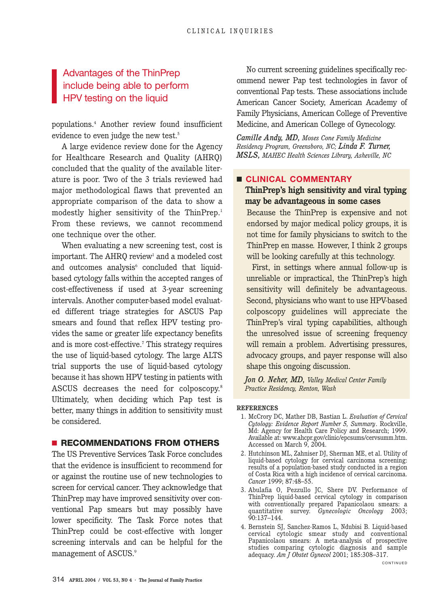### Advantages of the ThinPrep include being able to perform HPV testing on the liquid

populations.4 Another review found insufficient evidence to even judge the new test.<sup>5</sup>

A large evidence review done for the Agency for Healthcare Research and Quality (AHRQ) concluded that the quality of the available literature is poor. Two of the 3 trials reviewed had major methodological flaws that prevented an appropriate comparison of the data to show a modestly higher sensitivity of the ThinPrep.<sup>1</sup> From these reviews, we cannot recommend one technique over the other.

When evaluating a new screening test, cost is important. The AHRQ review<sup>1</sup> and a modeled cost and outcomes analysis $6$  concluded that liquidbased cytology falls within the accepted ranges of cost-effectiveness if used at 3-year screening intervals. Another computer-based model evaluated different triage strategies for ASCUS Pap smears and found that reflex HPV testing provides the same or greater life expectancy benefits and is more cost-effective.7 This strategy requires the use of liquid-based cytology. The large ALTS trial supports the use of liquid-based cytology because it has shown HPV testing in patients with ASCUS decreases the need for colposcopy.8 Ultimately, when deciding which Pap test is better, many things in addition to sensitivity must be considered.

### ■ **RECOMMENDATIONS FROM OTHERS**

The US Preventive Services Task Force concludes that the evidence is insufficient to recommend for or against the routine use of new technologies to screen for cervical cancer. They acknowledge that ThinPrep may have improved sensitivity over conventional Pap smears but may possibly have lower specificity. The Task Force notes that ThinPrep could be cost-effective with longer screening intervals and can be helpful for the management of ASCUS.<sup>9</sup>

No current screening guidelines specifically recommend newer Pap test technologies in favor of conventional Pap tests. These associations include American Cancer Society, American Academy of Family Physicians, American College of Preventive Medicine, and American College of Gynecology.

*Camille Andy, MD, Moses Cone Family Medicine Residency Program, Greensboro, NC; Linda F. Turner, MSLS, MAHEC Health Sciences Library, Asheville, NC* 

#### ■ **CLINICAL COMMENTARY**

### **ThinPrep's high sensitivity and viral typing may be advantageous in some cases**

Because the ThinPrep is expensive and not endorsed by major medical policy groups, it is not time for family physicians to switch to the ThinPrep en masse*.* However, I think 2 groups will be looking carefully at this technology.

First, in settings where annual follow-up is unreliable or impractical, the ThinPrep's high sensitivity will definitely be advantageous. Second, physicians who want to use HPV-based colposcopy guidelines will appreciate the ThinPrep's viral typing capabilities, although the unresolved issue of screening frequency will remain a problem. Advertising pressures, advocacy groups, and payer response will also shape this ongoing discussion.

*Jon O. Neher, MD, Valley Medical Center Family Practice Residency, Renton, Wash*

#### **REFERENCES**

- 1. McCrory DC, Mather DB, Bastian L. *Evaluation of Cervical Cytology: Evidence Report Number 5, Summary*. Rockville, Md: Agency for Health Care Policy and Research; 1999. Available at: www.ahcpr.gov/clinic/epcsums/cervsumm.htm. Accessed on March 9, 2004.
- 2. Hutchinson ML, Zahniser DJ, Sherman ME, et al. Utility of liquid-based cytology for cervical carcinoma screening: results of a population-based study conducted in a region of Costa Rica with a high incidence of cervical carcinoma. *Cancer* 1999; 87:48–55.
- 3. Abulafia O, Pezzullo JC, Shere DV. Performance of ThinPrep liquid-based cervical cytology in comparison with conventionally prepared Papanicolaou smears: a quantitative survey. *Gynecologic Oncology* 2003; 90:137–144.
- 4. Bernstein SJ, Sanchez-Ramos L, Ndubisi B. Liquid-based cervical cytologic smear study and conventional Papanicolaou smears: A meta-analysis of prospective studies comparing cytologic diagnosis and sample adequacy. *Am J Obstet Gynecol* 2001; 185:308–317.